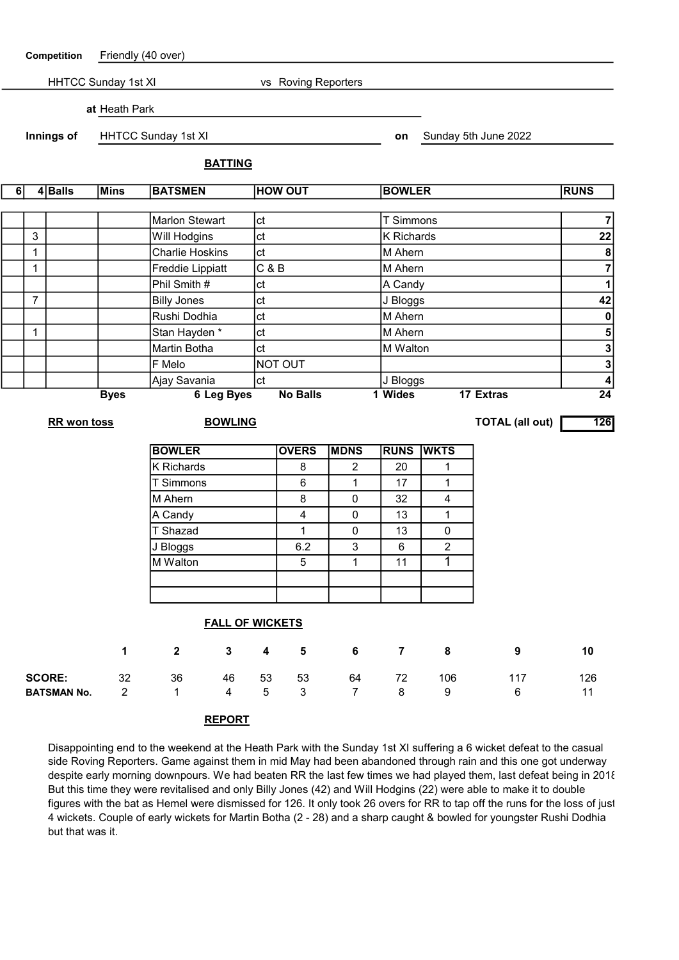| Competition                      |                     | Friendly (40 over)                  |                            |                         |                      |                        |                         |                      |                   |                |                               |                                                    |  |  |
|----------------------------------|---------------------|-------------------------------------|----------------------------|-------------------------|----------------------|------------------------|-------------------------|----------------------|-------------------|----------------|-------------------------------|----------------------------------------------------|--|--|
|                                  | HHTCC Sunday 1st XI |                                     |                            |                         |                      |                        | vs Roving Reporters     |                      |                   |                |                               |                                                    |  |  |
| at Heath Park                    |                     |                                     |                            |                         |                      |                        |                         |                      |                   |                |                               |                                                    |  |  |
|                                  |                     | Innings of                          | <b>HHTCC Sunday 1st XI</b> |                         |                      |                        |                         |                      | on                |                | Sunday 5th June 2022          |                                                    |  |  |
|                                  |                     |                                     | <b>BATTING</b>             |                         |                      |                        |                         |                      |                   |                |                               |                                                    |  |  |
|                                  |                     |                                     |                            |                         |                      |                        |                         |                      |                   |                |                               |                                                    |  |  |
| 6                                |                     | $4 $ Balls                          | <b>Mins</b>                | <b>BATSMEN</b>          |                      |                        | <b>HOW OUT</b>          |                      | <b>BOWLER</b>     |                |                               | <b>RUNS</b>                                        |  |  |
|                                  |                     |                                     |                            | <b>Marlon Stewart</b>   |                      | ct                     |                         |                      | <b>T</b> Simmons  |                |                               | $\overline{7}$                                     |  |  |
|                                  | 3                   |                                     |                            | Will Hodgins            |                      | ct                     |                         |                      | <b>K</b> Richards |                |                               | $\overline{22}$                                    |  |  |
|                                  | $\mathbf 1$         |                                     |                            | <b>Charlie Hoskins</b>  |                      | ct                     |                         |                      | M Ahern           |                |                               | $\overline{\mathbf{8}}$                            |  |  |
|                                  | $\mathbf{1}$        |                                     |                            | <b>Freddie Lippiatt</b> |                      | C & B                  |                         |                      | M Ahern           |                |                               | $\overline{7}$                                     |  |  |
|                                  |                     |                                     |                            | Phil Smith #            |                      | ct                     |                         |                      | A Candy           |                |                               | $\mathbf{1}$                                       |  |  |
|                                  | $\overline{7}$      |                                     |                            | <b>Billy Jones</b>      |                      | ct                     |                         |                      |                   | J Bloggs       |                               |                                                    |  |  |
|                                  |                     |                                     |                            | Rushi Dodhia<br>ct      |                      |                        |                         |                      | M Ahern           |                | 42<br>$\pmb{0}$               |                                                    |  |  |
|                                  | 1                   |                                     |                            | Stan Hayden *           |                      | ct                     |                         |                      |                   | M Ahern        |                               |                                                    |  |  |
|                                  |                     |                                     |                            | Martin Botha            |                      | ct                     |                         |                      | M Walton          |                |                               | $\overline{\mathbf{5}}$<br>$\overline{\mathbf{3}}$ |  |  |
|                                  |                     |                                     |                            | F Melo                  |                      |                        | NOT OUT                 |                      |                   |                |                               | $\overline{\mathbf{3}}$                            |  |  |
|                                  |                     |                                     |                            | Ajay Savania            |                      | lct                    |                         |                      | J Bloggs          |                |                               | $\overline{4}$                                     |  |  |
| <b>6 Leg Byes</b><br><b>Byes</b> |                     |                                     |                            |                         |                      |                        | <b>No Balls</b>         |                      | 1 Wides           |                | 17 Extras                     | $\overline{24}$                                    |  |  |
|                                  |                     | RR won toss                         |                            |                         | <b>BOWLING</b>       |                        |                         |                      |                   |                | 126<br><b>TOTAL (all out)</b> |                                                    |  |  |
|                                  |                     |                                     |                            | <b>BOWLER</b>           |                      |                        | <b>OVERS</b>            | <b>MDNS</b>          | <b>RUNS</b>       | <b>WKTS</b>    |                               |                                                    |  |  |
|                                  |                     |                                     |                            | K Richards              |                      |                        | 8                       | 2                    | 20                | 1              |                               |                                                    |  |  |
|                                  |                     |                                     |                            | T Simmons               |                      |                        | 6                       | $\mathbf 1$          | 17                | 1              |                               |                                                    |  |  |
|                                  |                     |                                     |                            | M Ahern                 |                      |                        | 8                       | $\pmb{0}$            | 32                | 4              |                               |                                                    |  |  |
|                                  |                     |                                     |                            | A Candy                 |                      |                        | $\overline{\mathbf{4}}$ | $\pmb{0}$            | 13                | 1              |                               |                                                    |  |  |
|                                  |                     |                                     |                            | T Shazad                |                      |                        | 1                       | $\pmb{0}$            | 13                | 0              |                               |                                                    |  |  |
|                                  |                     |                                     |                            | J Bloggs                |                      |                        | 6.2                     | 3                    | $6\,$             | $\overline{c}$ |                               |                                                    |  |  |
|                                  |                     |                                     |                            | M Walton                |                      |                        | 5                       | 1                    | 11                | 1              |                               |                                                    |  |  |
|                                  |                     |                                     |                            |                         |                      |                        |                         |                      |                   |                |                               |                                                    |  |  |
|                                  |                     |                                     |                            |                         |                      |                        |                         |                      |                   |                |                               |                                                    |  |  |
|                                  |                     |                                     |                            |                         |                      | <b>FALL OF WICKETS</b> |                         |                      |                   |                |                               |                                                    |  |  |
| $\mathbf 1$                      |                     |                                     |                            | $\mathbf{2}$            | $\mathbf{3}$         | $\boldsymbol{4}$       | $5\phantom{1}$          | 6                    | $\overline{7}$    | 8              | 9                             | 10                                                 |  |  |
|                                  |                     |                                     | 32                         | 36                      |                      |                        |                         |                      |                   |                | 117                           |                                                    |  |  |
|                                  |                     | <b>SCORE:</b><br><b>BATSMAN No.</b> | $\overline{2}$             | 1                       | 46<br>$\overline{4}$ | 53<br>5                | 53<br>3                 | 64<br>$\overline{7}$ | 72<br>8           | 106<br>9       | 6                             | 126<br>11                                          |  |  |
|                                  |                     |                                     |                            |                         | <b>REPORT</b>        |                        |                         |                      |                   |                |                               |                                                    |  |  |

Disappointing end to the weekend at the Heath Park with the Sunday 1st XI suffering a 6 wicket defeat to the casual side Roving Reporters. Game against them in mid May had been abandoned through rain and this one got underway despite early morning downpours. We had beaten RR the last few times we had played them, last defeat being in 2018. But this time they were revitalised and only Billy Jones (42) and Will Hodgins (22) were able to make it to double figures with the bat as Hemel were dismissed for 126. It only took 26 overs for RR to tap off the runs for the loss of just 4 wickets. Couple of early wickets for Martin Botha (2 - 28) and a sharp caught & bowled for youngster Rushi Dodhia but that was it.